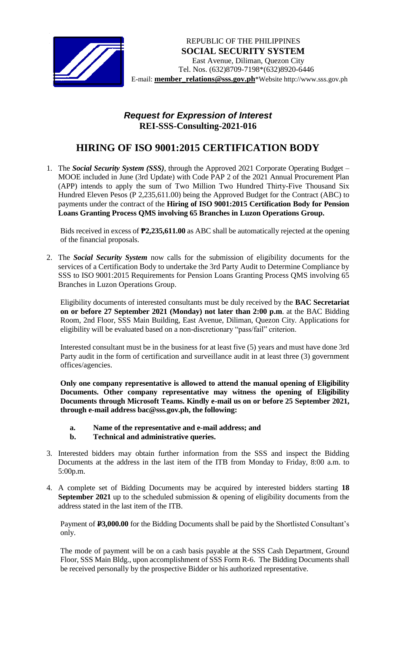

## *Request for Expression of Interest*  **REI-SSS-Consulting-2021-016**

## **HIRING OF ISO 9001:2015 CERTIFICATION BODY**

1. The *Social Security System (SSS)*, through the Approved 2021 Corporate Operating Budget – MOOE included in June (3rd Update) with Code PAP 2 of the 2021 Annual Procurement Plan (APP) intends to apply the sum of Two Million Two Hundred Thirty-Five Thousand Six Hundred Eleven Pesos (P 2,235,611.00) being the Approved Budget for the Contract (ABC) to payments under the contract of the **Hiring of ISO 9001:2015 Certification Body for Pension Loans Granting Process QMS involving 65 Branches in Luzon Operations Group.**

Bids received in excess of **₱2,235,611.00** as ABC shall be automatically rejected at the opening of the financial proposals.

2. The *Social Security System* now calls for the submission of eligibility documents for the services of a Certification Body to undertake the 3rd Party Audit to Determine Compliance by SSS to ISO 9001:2015 Requirements for Pension Loans Granting Process QMS involving 65 Branches in Luzon Operations Group.

Eligibility documents of interested consultants must be duly received by the **BAC Secretariat on or before 27 September 2021 (Monday) not later than 2:00 p.m**. at the BAC Bidding Room, 2nd Floor, SSS Main Building, East Avenue, Diliman, Quezon City. Applications for eligibility will be evaluated based on a non-discretionary "pass/fail" criterion.

Interested consultant must be in the business for at least five (5) years and must have done 3rd Party audit in the form of certification and surveillance audit in at least three (3) government offices/agencies.

**Only one company representative is allowed to attend the manual opening of Eligibility Documents. Other company representative may witness the opening of Eligibility Documents through Microsoft Teams. Kindly e-mail us on or before 25 September 2021, through e-mail address bac@sss.gov.ph, the following:**

- **a. Name of the representative and e-mail address; and**
- **b. Technical and administrative queries.**
- 3. Interested bidders may obtain further information from the SSS and inspect the Bidding Documents at the address in the last item of the ITB from Monday to Friday, 8:00 a.m. to 5:00p.m.
- 4. A complete set of Bidding Documents may be acquired by interested bidders starting **18 September 2021** up to the scheduled submission & opening of eligibility documents from the address stated in the last item of the ITB.

Payment of **P3,000.00** for the Bidding Documents shall be paid by the Shortlisted Consultant's only.

The mode of payment will be on a cash basis payable at the SSS Cash Department, Ground Floor, SSS Main Bldg., upon accomplishment of SSS Form R-6. The Bidding Documents shall be received personally by the prospective Bidder or his authorized representative.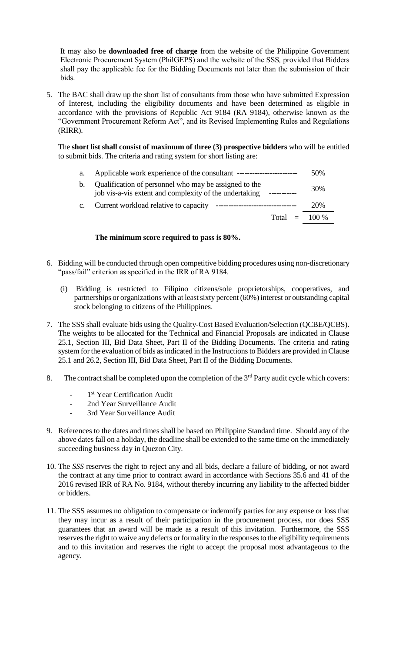It may also be **downloaded free of charge** from the website of the Philippine Government Electronic Procurement System (PhilGEPS) and the website of the SSS*,* provided that Bidders shall pay the applicable fee for the Bidding Documents not later than the submission of their bids.

5. The BAC shall draw up the short list of consultants from those who have submitted Expression of Interest, including the eligibility documents and have been determined as eligible in accordance with the provisions of Republic Act 9184 (RA 9184), otherwise known as the "Government Procurement Reform Act", and its Revised Implementing Rules and Regulations (RIRR).

The **short list shall consist of maximum of three (3) prospective bidders** who will be entitled to submit bids. The criteria and rating system for short listing are:

- a. Applicable work experience of the consultant ------------------------ 50%
- b. Qualification of personnel who may be assigned to the job vis-a-vis extent and complexity of the undertaking ----------- 30% c. Current workload relative to capacity -------------------------------- 20%
- Total  $=$  100 %

## **The minimum score required to pass is 80%.**

- 6. Bidding will be conducted through open competitive bidding procedures using non-discretionary "pass/fail" criterion as specified in the IRR of RA 9184.
	- (i) Bidding is restricted to Filipino citizens/sole proprietorships, cooperatives, and partnerships or organizations with at least sixty percent (60%) interest or outstanding capital stock belonging to citizens of the Philippines.
- 7. The SSS shall evaluate bids using the Quality-Cost Based Evaluation/Selection (QCBE/QCBS). The weights to be allocated for the Technical and Financial Proposals are indicated in Clause 25.1, Section III, Bid Data Sheet, Part II of the Bidding Documents. The criteria and rating system for the evaluation of bids as indicated in the Instructions to Bidders are provided in Clause 25.1 and 26.2, Section III, Bid Data Sheet, Part II of the Bidding Documents.
- 8. The contract shall be completed upon the completion of the  $3<sup>rd</sup>$  Party audit cycle which covers:
	- *-* 1 st Year Certification Audit
	- *-* 2nd Year Surveillance Audit
	- *-* 3rd Year Surveillance Audit
- 9. References to the dates and times shall be based on Philippine Standard time. Should any of the above dates fall on a holiday, the deadline shall be extended to the same time on the immediately succeeding business day in Quezon City.
- 10. The *SSS* reserves the right to reject any and all bids, declare a failure of bidding, or not award the contract at any time prior to contract award in accordance with Sections 35.6 and 41 of the 2016 revised IRR of RA No. 9184, without thereby incurring any liability to the affected bidder or bidders.
- 11. The SSS assumes no obligation to compensate or indemnify parties for any expense or loss that they may incur as a result of their participation in the procurement process, nor does SSS guarantees that an award will be made as a result of this invitation. Furthermore, the SSS reserves the right to waive any defects or formality in the responses to the eligibility requirements and to this invitation and reserves the right to accept the proposal most advantageous to the agency.